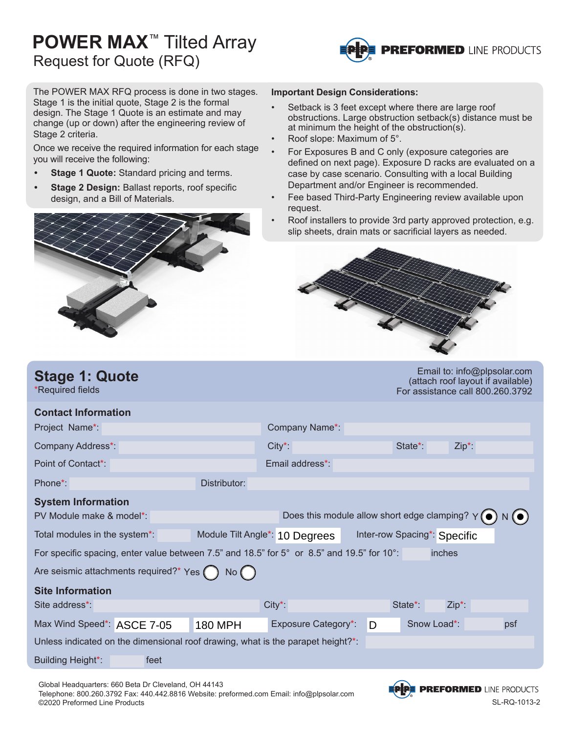## **POWER MAX**™ Tilted Array Request for Quote (RFQ)



The POWER MAX RFQ process is done in two stages. Stage 1 is the initial quote, Stage 2 is the formal design. The Stage 1 Quote is an estimate and may change (up or down) after the engineering review of Stage 2 criteria.

Once we receive the required information for each stage you will receive the following:

- **• Stage 1 Quote:** Standard pricing and terms.
- **• Stage 2 Design:** Ballast reports, roof specific design, and a Bill of Materials.



#### **Important Design Considerations:**

- Setback is 3 feet except where there are large roof obstructions. Large obstruction setback(s) distance must be at minimum the height of the obstruction(s).
- Roof slope: Maximum of 5°.
- For Exposures B and C only (exposure categories are defined on next page). Exposure D racks are evaluated on a case by case scenario. Consulting with a local Building Department and/or Engineer is recommended.
- Fee based Third-Party Engineering review available upon request.
- Roof installers to provide 3rd party approved protection, e.g. slip sheets, drain mats or sacrificial layers as needed.



| <b>Stage 1: Quote</b><br>*Required fields                                                                                         |                                | Effiail to. imo@pipsolar.com<br>(attach roof layout if available)<br>For assistance call 800.260.3792 |   |                              |          |  |  |  |
|-----------------------------------------------------------------------------------------------------------------------------------|--------------------------------|-------------------------------------------------------------------------------------------------------|---|------------------------------|----------|--|--|--|
| <b>Contact Information</b>                                                                                                        |                                |                                                                                                       |   |                              |          |  |  |  |
| Project Name*:                                                                                                                    |                                | Company Name*                                                                                         |   |                              |          |  |  |  |
| Company Address*:                                                                                                                 |                                | $City^*$ :                                                                                            |   | State*:                      | $Zip*$ : |  |  |  |
| Point of Contact*:                                                                                                                |                                | Email address*:                                                                                       |   |                              |          |  |  |  |
| Phone*:                                                                                                                           | Distributor:                   |                                                                                                       |   |                              |          |  |  |  |
| <b>System Information</b><br>Does this module allow short edge clamping? $Y(\bullet)$<br>$N(\bullet)$<br>PV Module make & model*: |                                |                                                                                                       |   |                              |          |  |  |  |
| Total modules in the system*:                                                                                                     | Module Tilt Angle*: 10 Degrees |                                                                                                       |   | Inter-row Spacing*: Specific |          |  |  |  |
| For specific spacing, enter value between 7.5" and 18.5" for 5° or 8.5" and 19.5" for 10°:<br>inches                              |                                |                                                                                                       |   |                              |          |  |  |  |
| Are seismic attachments required?* Yes (                                                                                          | No()                           |                                                                                                       |   |                              |          |  |  |  |
| <b>Site Information</b>                                                                                                           |                                |                                                                                                       |   |                              |          |  |  |  |
| Site address*:                                                                                                                    |                                | $City^*$ :                                                                                            |   | State*:                      | $Zip*$ : |  |  |  |
| Max Wind Speed*: ASCE 7-05                                                                                                        | <b>180 MPH</b>                 | Exposure Category*:                                                                                   | D | Snow Load*:                  | psf      |  |  |  |
| Unless indicated on the dimensional roof drawing, what is the parapet height?*:                                                   |                                |                                                                                                       |   |                              |          |  |  |  |
| <b>Building Height*:</b><br>feet                                                                                                  |                                |                                                                                                       |   |                              |          |  |  |  |

Global Headquarters: 660 Beta Dr Cleveland, OH 44143 Telephone: 800.260.3792 Fax: 440.442.8816 Website: preformed.com Email: info@plpsolar.com ©2020 Preformed Line Products SL-RQ-1013-2



 $B^{\text{rel}}$  to: info@plpsolar.